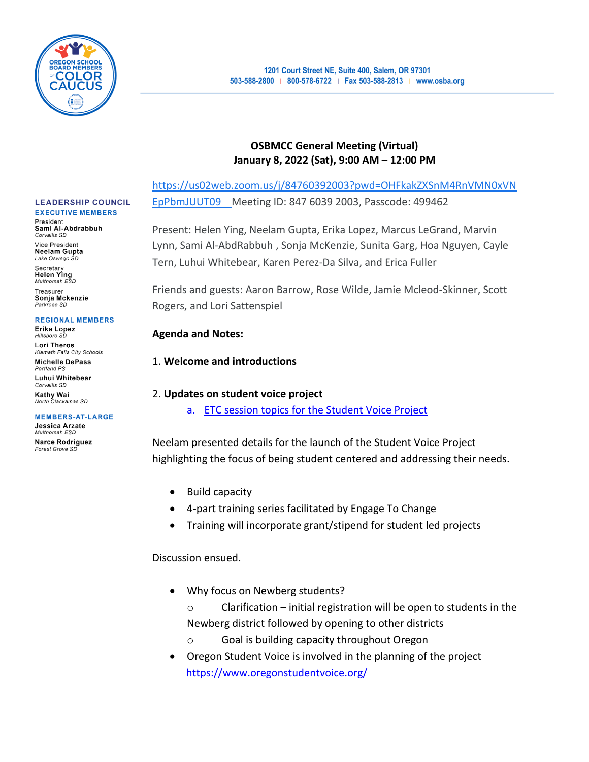

## **OSBMCC General Meeting (Virtual) January 8, 2022 (Sat), 9:00 AM – 12:00 PM**

[https://us02web.zoom.us/j/84760392003?pwd=OHFkakZXSnM4RnVMN0xVN](https://us02web.zoom.us/j/84760392003?pwd=OHFkakZXSnM4RnVMN0xVNEpPbmJUUT09) [EpPbmJUUT09](https://us02web.zoom.us/j/84760392003?pwd=OHFkakZXSnM4RnVMN0xVNEpPbmJUUT09) Meeting ID: 847 6039 2003, Passcode: 499462

Present: Helen Ying, Neelam Gupta, Erika Lopez, Marcus LeGrand, Marvin Lynn, Sami Al-AbdRabbuh , Sonja McKenzie, Sunita Garg, Hoa Nguyen, Cayle Tern, Luhui Whitebear, Karen Perez-Da Silva, and Erica Fuller

Friends and guests: Aaron Barrow, Rose Wilde, Jamie Mcleod-Skinner, Scott Rogers, and Lori Sattenspiel

## **Agenda and Notes:**

## 1. **Welcome and introductions**

## 2. **Updates on student voice project**

a. [ETC session topics for the Student Voice Project](https://docs.google.com/document/d/152dJJV2l81-_UHnoABZt4N9JU2_ATv5ubepnldqRhM4/edit?usp=sharing)

Neelam presented details for the launch of the Student Voice Project highlighting the focus of being student centered and addressing their needs.

- Build capacity
- 4-part training series facilitated by Engage To Change
- Training will incorporate grant/stipend for student led projects

## Discussion ensued.

- Why focus on Newberg students?
	- o Clarification initial registration will be open to students in the Newberg district followed by opening to other districts
	- Goal is building capacity throughout Oregon
- Oregon Student Voice is involved in the planning of the project <https://www.oregonstudentvoice.org/>

#### **LEADERSHIP COUNCIL EXECUTIVE MEMBERS**

President

Sami Al-Abdrabbuh Corvallis SD

Vice President **Neelam Gupta** Lake Oswego SD Secretary

**Helen Ying** Multnomah ESD

Treasurer Sonja Mckenzie Parkrose SD

### **REGIONAL MEMBERS**

Erika Lopez Hillsboro SL **Lori Theros** 

**Klamath Falls City Schools Michelle DePass** 

Portland P Luhui Whitebear

Corvallis SD **Kathy Wai** North Clackamas SD

**MEMBERS-AT-LARGE** Jessica Arzate

Multnomah ESD **Narce Rodriguez** Forest Grove SD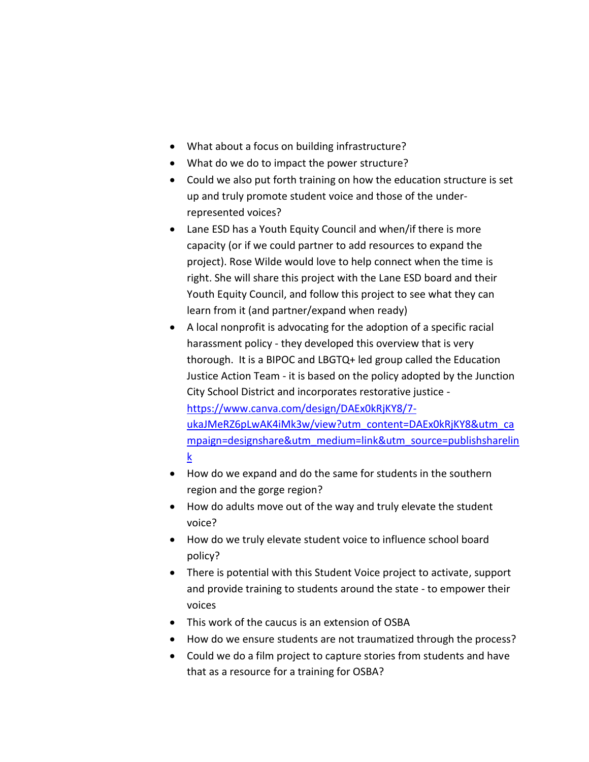- What about a focus on building infrastructure?
- What do we do to impact the power structure?
- Could we also put forth training on how the education structure is set up and truly promote student voice and those of the underrepresented voices?
- Lane ESD has a Youth Equity Council and when/if there is more capacity (or if we could partner to add resources to expand the project). Rose Wilde would love to help connect when the time is right. She will share this project with the Lane ESD board and their Youth Equity Council, and follow this project to see what they can learn from it (and partner/expand when ready)
- A local nonprofit is advocating for the adoption of a specific racial harassment policy - they developed this overview that is very thorough. It is a BIPOC and LBGTQ+ led group called the Education Justice Action Team - it is based on the policy adopted by the Junction City School District and incorporates restorative justice  [https://www.canva.com/design/DAEx0kRjKY8/7](https://www.canva.com/design/DAEx0kRjKY8/7-ukaJMeRZ6pLwAK4iMk3w/view?utm_content=DAEx0kRjKY8&utm_campaign=designshare&utm_medium=link&utm_source=publishsharelink) [ukaJMeRZ6pLwAK4iMk3w/view?utm\\_content=DAEx0kRjKY8&utm\\_ca](https://www.canva.com/design/DAEx0kRjKY8/7-ukaJMeRZ6pLwAK4iMk3w/view?utm_content=DAEx0kRjKY8&utm_campaign=designshare&utm_medium=link&utm_source=publishsharelink) [mpaign=designshare&utm\\_medium=link&utm\\_source=publishsharelin](https://www.canva.com/design/DAEx0kRjKY8/7-ukaJMeRZ6pLwAK4iMk3w/view?utm_content=DAEx0kRjKY8&utm_campaign=designshare&utm_medium=link&utm_source=publishsharelink) [k](https://www.canva.com/design/DAEx0kRjKY8/7-ukaJMeRZ6pLwAK4iMk3w/view?utm_content=DAEx0kRjKY8&utm_campaign=designshare&utm_medium=link&utm_source=publishsharelink)
- How do we expand and do the same for students in the southern region and the gorge region?
- How do adults move out of the way and truly elevate the student voice?
- How do we truly elevate student voice to influence school board policy?
- There is potential with this Student Voice project to activate, support and provide training to students around the state - to empower their voices
- This work of the caucus is an extension of OSBA
- How do we ensure students are not traumatized through the process?
- Could we do a film project to capture stories from students and have that as a resource for a training for OSBA?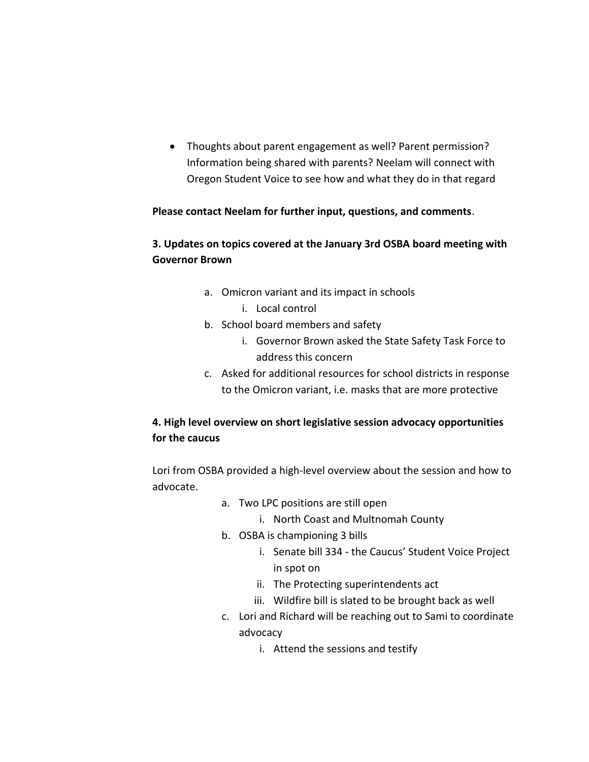• Thoughts about parent engagement as well? Parent permission? Information being shared with parents? Neelam will connect with Oregon Student Voice to see how and what they do in that regard

## **Please contact Neelam for further input, questions, and comments**.

## **3. Updates on topics covered at the January 3rd OSBA board meeting with Governor Brown**

- a. Omicron variant and its impact in schools
	- i. Local control
- b. School board members and safety
	- i. Governor Brown asked the State Safety Task Force to address this concern
- c. Asked for additional resources for school districts in response to the Omicron variant, i.e. masks that are more protective

# **4. High level overview on short legislative session advocacy opportunities for the caucus**

Lori from OSBA provided a high-level overview about the session and how to advocate.

- a. Two LPC positions are still open
	- i. North Coast and Multnomah County
- b. OSBA is championing 3 bills
	- i. Senate bill 334 the Caucus' Student Voice Project in spot on
	- ii. The Protecting superintendents act
	- iii. Wildfire bill is slated to be brought back as well
- c. Lori and Richard will be reaching out to Sami to coordinate advocacy
	- i. Attend the sessions and testify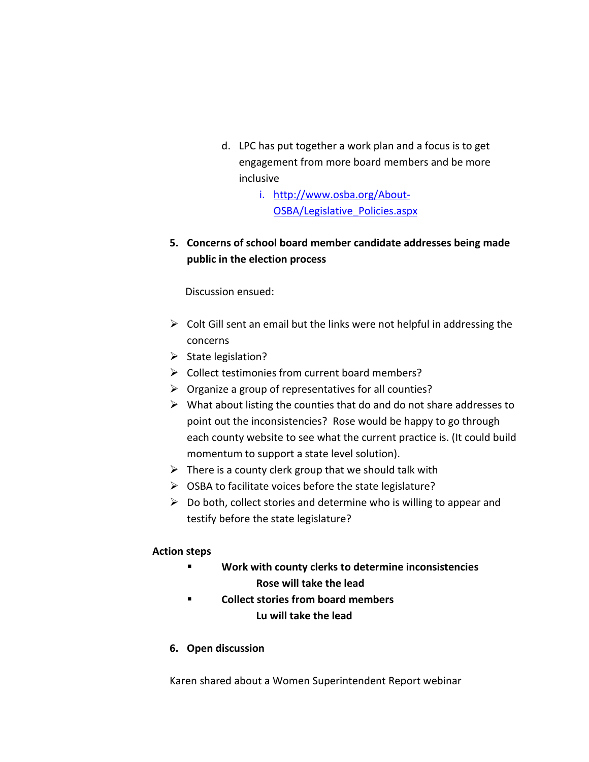- d. LPC has put together a work plan and a focus is to get engagement from more board members and be more inclusive
	- i. [http://www.osba.org/About-](http://www.osba.org/About-OSBA/Legislative_Policies.aspx)[OSBA/Legislative\\_Policies.aspx](http://www.osba.org/About-OSBA/Legislative_Policies.aspx)
- **5. Concerns of school board member candidate addresses being made public in the election process**

Discussion ensued:

- $\triangleright$  Colt Gill sent an email but the links were not helpful in addressing the concerns
- ➢ State legislation?
- ➢ Collect testimonies from current board members?
- ➢ Organize a group of representatives for all counties?
- $\triangleright$  What about listing the counties that do and do not share addresses to point out the inconsistencies? Rose would be happy to go through each county website to see what the current practice is. (It could build momentum to support a state level solution).
- $\triangleright$  There is a county clerk group that we should talk with
- ➢ OSBA to facilitate voices before the state legislature?
- $\triangleright$  Do both, collect stories and determine who is willing to appear and testify before the state legislature?

## **Action steps**

- **Work with county clerks to determine inconsistencies Rose will take the lead**
- **Collect stories from board members Lu will take the lead**
- **6. Open discussion**

Karen shared about a Women Superintendent Report webinar